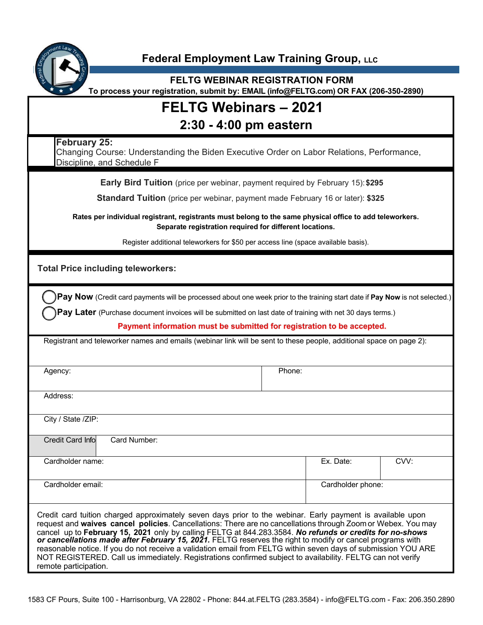

### **Federal Employment Law Training Group, LLC**

**FELTG WEBINAR REGISTRATION FORM To process your registration, submit by: EMAIL (info@FELTG.com) OR FAX (206-350-2890)**

# **FELTG Webinars – 2021**

## **2:30 - 4:00 pm eastern**

| 2:30 - 4:00 pm eastern                                                                                                                                                                                                                                                                                                                                                                                                                                                                                                                                                                                                                                                                                       |           |                   |  |
|--------------------------------------------------------------------------------------------------------------------------------------------------------------------------------------------------------------------------------------------------------------------------------------------------------------------------------------------------------------------------------------------------------------------------------------------------------------------------------------------------------------------------------------------------------------------------------------------------------------------------------------------------------------------------------------------------------------|-----------|-------------------|--|
| February 25:<br>Changing Course: Understanding the Biden Executive Order on Labor Relations, Performance,<br>Discipline, and Schedule F                                                                                                                                                                                                                                                                                                                                                                                                                                                                                                                                                                      |           |                   |  |
| Early Bird Tuition (price per webinar, payment required by February 15): \$295                                                                                                                                                                                                                                                                                                                                                                                                                                                                                                                                                                                                                               |           |                   |  |
| <b>Standard Tuition</b> (price per webinar, payment made February 16 or later): \$325                                                                                                                                                                                                                                                                                                                                                                                                                                                                                                                                                                                                                        |           |                   |  |
| Rates per individual registrant, registrants must belong to the same physical office to add teleworkers.<br>Separate registration required for different locations.                                                                                                                                                                                                                                                                                                                                                                                                                                                                                                                                          |           |                   |  |
| Register additional teleworkers for \$50 per access line (space available basis).                                                                                                                                                                                                                                                                                                                                                                                                                                                                                                                                                                                                                            |           |                   |  |
| <b>Total Price including teleworkers:</b>                                                                                                                                                                                                                                                                                                                                                                                                                                                                                                                                                                                                                                                                    |           |                   |  |
| Pay Now (Credit card payments will be processed about one week prior to the training start date if Pay Now is not selected.)                                                                                                                                                                                                                                                                                                                                                                                                                                                                                                                                                                                 |           |                   |  |
| Pay Later (Purchase document invoices will be submitted on last date of training with net 30 days terms.)                                                                                                                                                                                                                                                                                                                                                                                                                                                                                                                                                                                                    |           |                   |  |
| Payment information must be submitted for registration to be accepted.                                                                                                                                                                                                                                                                                                                                                                                                                                                                                                                                                                                                                                       |           |                   |  |
| Registrant and teleworker names and emails (webinar link will be sent to these people, additional space on page 2):                                                                                                                                                                                                                                                                                                                                                                                                                                                                                                                                                                                          |           |                   |  |
|                                                                                                                                                                                                                                                                                                                                                                                                                                                                                                                                                                                                                                                                                                              |           |                   |  |
| Agency:                                                                                                                                                                                                                                                                                                                                                                                                                                                                                                                                                                                                                                                                                                      | Phone:    |                   |  |
| Address:                                                                                                                                                                                                                                                                                                                                                                                                                                                                                                                                                                                                                                                                                                     |           |                   |  |
| City / State /ZIP:                                                                                                                                                                                                                                                                                                                                                                                                                                                                                                                                                                                                                                                                                           |           |                   |  |
| <b>Credit Card Info</b><br>Card Number:                                                                                                                                                                                                                                                                                                                                                                                                                                                                                                                                                                                                                                                                      |           |                   |  |
| Cardholder name:                                                                                                                                                                                                                                                                                                                                                                                                                                                                                                                                                                                                                                                                                             | Ex. Date: | CVV:              |  |
| Cardholder email:                                                                                                                                                                                                                                                                                                                                                                                                                                                                                                                                                                                                                                                                                            |           | Cardholder phone: |  |
| Credit card tuition charged approximately seven days prior to the webinar. Early payment is available upon<br>request and waives cancel policies. Cancellations: There are no cancellations through Zoom or Webex. You may<br>cancel up to February 15, 2021 only by calling FELTG at 844.283.3584. No refunds or credits for no-shows<br>or cancellations made after February 15, 2021. FELTG reserves the right to modify or cancel programs with<br>reasonable notice. If you do not receive a validation email from FELTG within seven days of submission YOU ARE<br>NOT REGISTERED. Call us immediately. Registrations confirmed subject to availability. FELTG can not verify<br>remote participation. |           |                   |  |